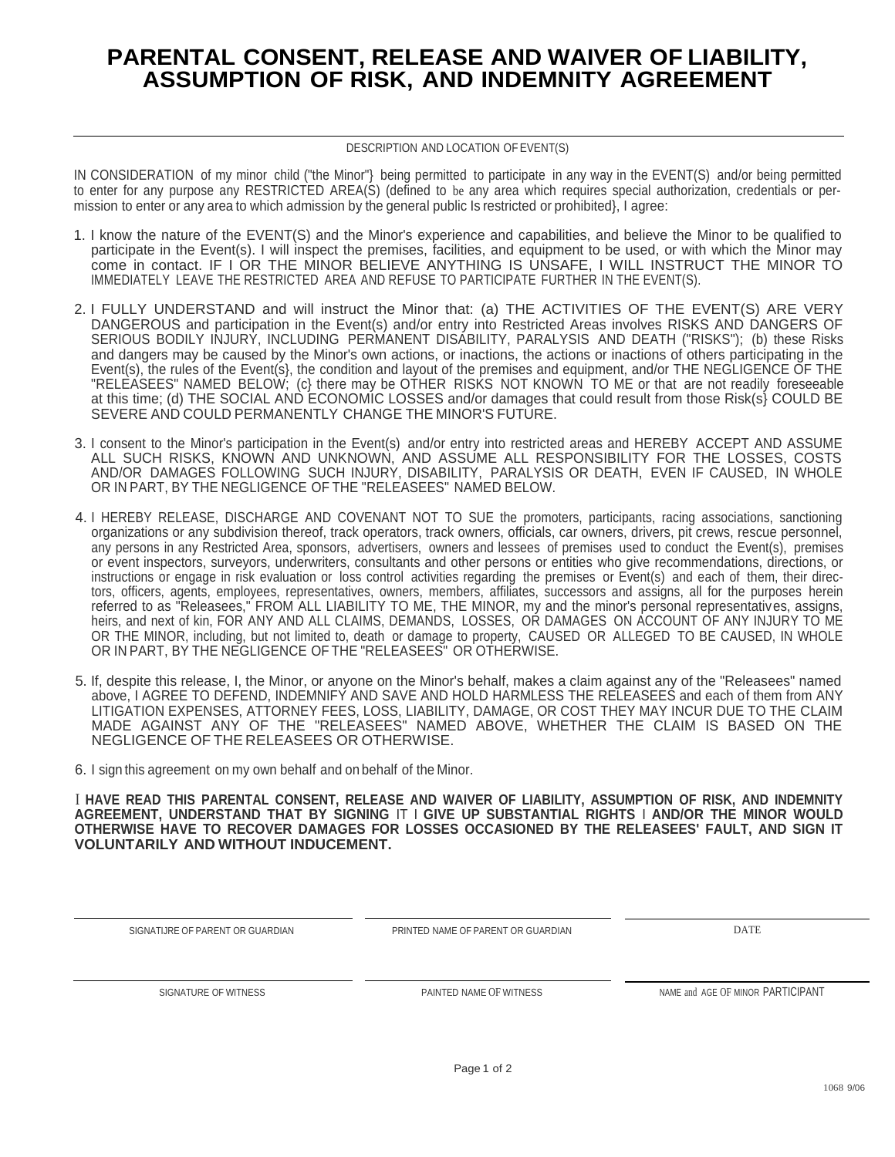## **PARENTAL CONSENT, RELEASE AND WAIVER OF LIABILITY, ASSUMPTION OF RISK, AND INDEMNITY AGREEMENT**

## DESCRIPTION AND LOCATION OF EVENT(S)

IN CONSIDERATION of my minor child ("the Minor"} being permitted to participate in any way in the EVENT(S) and/or being permitted to enter for any purpose any RESTRICTED AREA(S) (defined to be any area which requires special authorization, credentials or permission to enter or any area to which admission by the general public Is restricted or prohibited}, I agree:

- 1. I know the nature of the EVENT(S) and the Minor's experience and capabilities, and believe the Minor to be qualified to participate in the Event(s). I will inspect the premises, facilities, and equipment to be used, or with which the Minor may come in contact. IF I OR THE MINOR BELIEVE ANYTHING IS UNSAFE, I WILL INSTRUCT THE MINOR TO IMMEDIATELY LEAVE THE RESTRICTED AREA AND REFUSE TO PARTICIPATE FURTHER IN THE EVENT(S).
- 2. I FULLY UNDERSTAND and will instruct the Minor that: (a) THE ACTIVITIES OF THE EVENT(S) ARE VERY DANGEROUS and participation in the Event(s) and/or entry into Restricted Areas involves RISKS AND DANGERS OF SERIOUS BODILY INJURY, INCLUDING PERMANENT DISABILITY, PARALYSIS AND DEATH ("RISKS"); (b) these Risks and dangers may be caused by the Minor's own actions, or inactions, the actions or inactions of others participating in the Event(s), the rules of the Event(s}, the condition and layout of the premises and equipment, and/or THE NEGLIGENCE OF THE "RELEASEES" NAMED BELOW; (c) there may be OTHER RISKS NOT KNOWN TO ME or that are not readily foreseeable at this time; (d) THE SOCIAL AND ECONOMIC LOSSES and/or damages that could result from those Risk(s} COULD BE SEVERE AND COULD PERMANENTLY CHANGE THE MINOR'S FUTURE.
- 3. I consent to the Minor's participation in the Event(s) and/or entry into restricted areas and HEREBY ACCEPT AND ASSUME ALL SUCH RISKS, KNOWN AND UNKNOWN, AND ASSUME ALL RESPONSIBILITY FOR THE LOSSES, COSTS AND/OR DAMAGES FOLLOWING SUCH INJURY, DISABILITY, PARALYSIS OR DEATH, EVEN IF CAUSED, IN WHOLE OR IN PART, BY THE NEGLIGENCE OF THE "RELEASEES" NAMED BELOW.
- 4. I HEREBY RELEASE, DISCHARGE AND COVENANT NOT TO SUE the promoters, participants, racing associations, sanctioning organizations or any subdivision thereof, track operators, track owners, officials, car owners, drivers, pit crews, rescue personnel, any persons in any Restricted Area, sponsors, advertisers, owners and lessees of premises used to conduct the Event(s), premises or event inspectors, surveyors, underwriters, consultants and other persons or entities who give recommendations, directions, or instructions or engage in risk evaluation or loss control activities regarding the premises or Event(s) and each of them, their directors, officers, agents, employees, representatives, owners, members, affiliates, successors and assigns, all for the purposes herein referred to as "Releasees," FROM ALL LIABILITY TO ME, THE MINOR, my and the minor's personal representatives, assigns, heirs, and next of kin, FOR ANY AND ALL CLAIMS, DEMANDS, LOSSES, OR DAMAGES ON ACCOUNT OF ANY INJURY TO ME OR THE MINOR, including, but not limited to, death or damage to property, CAUSED OR ALLEGED TO BE CAUSED, IN WHOLE OR IN PART, BY THE NEGLIGENCE OF THE "RELEASEES" OR OTHERWISE.
- 5. If, despite this release, I, the Minor, or anyone on the Minor's behalf, makes a claim against any of the "Releasees" named above, I AGREE TO DEFEND, INDEMNIFY AND SAVE AND HOLD HARMLESS THE RELEASEES and each of them from ANY LITIGATION EXPENSES, ATTORNEY FEES, LOSS, LIABILITY, DAMAGE, OR COST THEY MAY INCUR DUE TO THE CLAIM MADE AGAINST ANY OF THE "RELEASEES" NAMED ABOVE, WHETHER THE CLAIM IS BASED ON THE NEGLIGENCE OF THE RELEASEES OR OTHERWISE.
- 6. I sign this agreement on my own behalf and on behalf of the Minor.

I **HAVE READ THIS PARENTAL CONSENT, RELEASE AND WAIVER OF LIABILITY, ASSUMPTION OF RISK, AND INDEMNITY AGREEMENT, UNDERSTAND THAT BY SIGNING** IT I **GIVE UP SUBSTANTIAL RIGHTS** I **AND/OR THE MINOR WOULD OTHERWISE HAVE TO RECOVER DAMAGES FOR LOSSES OCCASIONED BY THE RELEASEES' FAULT, AND SIGN IT VOLUNTARILY AND WITHOUT INDUCEMENT.**

| SIGNATIJRE OF PARENT OR GUARDIAN | PRINTED NAME OF PARENT OR GUARDIAN | <b>DATE</b>                       |  |
|----------------------------------|------------------------------------|-----------------------------------|--|
| SIGNATURE OF WITNESS             | PAINTED NAME OF WITNESS            | NAME and AGE OF MINOR PARTICIPANT |  |